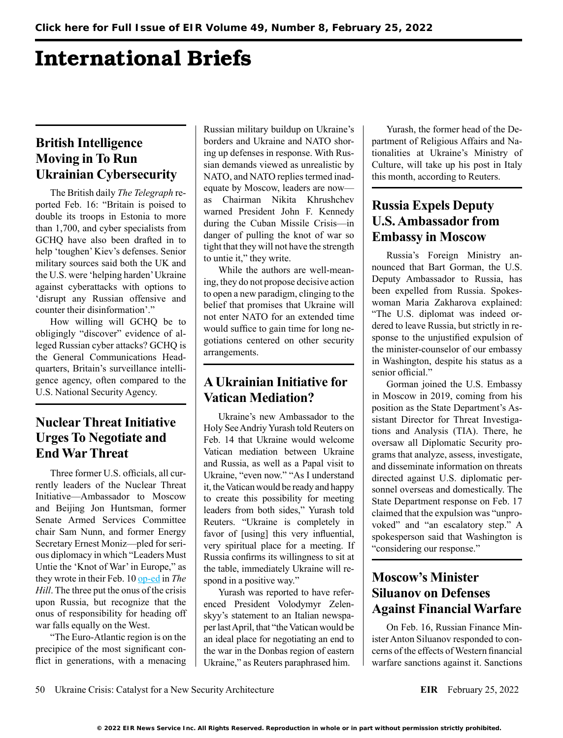# International Briefs

## **British Intelligence Moving in To Run Ukrainian Cybersecurity**

The British daily *The Telegraph* reported Feb. 16: "Britain is poised to double its troops in Estonia to more than 1,700, and cyber specialists from GCHQ have also been drafted in to help 'toughen' Kiev's defenses. Senior military sources said both the UK and the U.S. were 'helping harden' Ukraine against cyberattacks with options to 'disrupt any Russian offensive and counter their disinformation'."

How willing will GCHQ be to obligingly "discover" evidence of alleged Russian cyber attacks? GCHQ is the General Communications Headquarters, Britain's surveillance intelligence agency, often compared to the U.S. National Security Agency.

### **Nuclear Threat Initiative Urges To Negotiate and End War Threat**

Three former U.S. officials, all currently leaders of the Nuclear Threat Initiative—Ambassador to Moscow and Beijing Jon Huntsman, former Senate Armed Services Committee chair Sam Nunn, and former Energy Secretary Ernest Moniz—pled for serious diplomacy in which "Leaders Must Untie the 'Knot of War' in Europe," as they wrote in their Feb. 10 [op-ed](https://thehill.com/opinion/national-security/593614-leaders-must-untie-the-knot-of-war-in-europe) in *The Hill*. The three put the onus of the crisis upon Russia, but recognize that the onus of responsibility for heading off war falls equally on the West.

"The Euro-Atlantic region is on the precipice of the most significant conflict in generations, with a menacing Russian military buildup on Ukraine's borders and Ukraine and NATO shoring up defenses in response. With Russian demands viewed as unrealistic by NATO, and NATO replies termed inadequate by Moscow, leaders are now as Chairman Nikita Khrushchev warned President John F. Kennedy during the Cuban Missile Crisis—in danger of pulling the knot of war so tight that they will not have the strength to untie it," they write.

While the authors are well-meaning, they do not propose decisive action to open a new paradigm, clinging to the belief that promises that Ukraine will not enter NATO for an extended time would suffice to gain time for long negotiations centered on other security arrangements.

#### **A Ukrainian Initiative for Vatican Mediation?**

Ukraine's new Ambassador to the Holy See Andriy Yurash told Reuters on Feb. 14 that Ukraine would welcome Vatican mediation between Ukraine and Russia, as well as a Papal visit to Ukraine, "even now." "As I understand it, the Vatican would be ready and happy to create this possibility for meeting leaders from both sides," Yurash told Reuters. "Ukraine is completely in favor of [using] this very influential, very spiritual place for a meeting. If Russia confirms its willingness to sit at the table, immediately Ukraine will respond in a positive way."

Yurash was reported to have referenced President Volodymyr Zelenskyy's statement to an Italian newspaper last April, that "the Vatican would be an ideal place for negotiating an end to the war in the Donbas region of eastern Ukraine," as Reuters paraphrased him.

Yurash, the former head of the Department of Religious Affairs and Nationalities at Ukraine's Ministry of Culture, will take up his post in Italy this month, according to Reuters.

## **Russia Expels Deputy U.S. Ambassador from Embassy in Moscow**

Russia's Foreign Ministry announced that Bart Gorman, the U.S. Deputy Ambassador to Russia, has been expelled from Russia. Spokeswoman Maria Zakharova explained: "The U.S. diplomat was indeed ordered to leave Russia, but strictly in response to the unjustified expulsion of the minister-counselor of our embassy in Washington, despite his status as a senior official."

Gorman joined the U.S. Embassy in Moscow in 2019, coming from his position as the State Department's Assistant Director for Threat Investigations and Analysis (TIA). There, he oversaw all Diplomatic Security programs that analyze, assess, investigate, and disseminate information on threats directed against U.S. diplomatic personnel overseas and domestically. The State Department response on Feb. 17 claimed that the expulsion was "unprovoked" and "an escalatory step." A spokesperson said that Washington is "considering our response."

## **Moscow's Minister Siluanov on Defenses Against Financial Warfare**

On Feb. 16, Russian Finance Minister Anton Siluanov responded to concerns of the effects of Western financial warfare sanctions against it. Sanctions